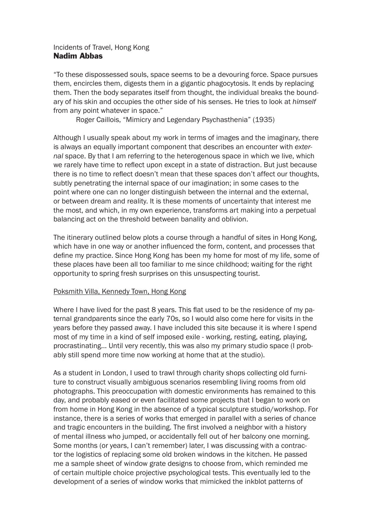# Incidents of Travel, Hong Kong Nadim Abbas

"To these dispossessed souls, space seems to be a devouring force. Space pursues them, encircles them, digests them in a gigantic phagocytosis. It ends by replacing them. Then the body separates itself from thought, the individual breaks the boundary of his skin and occupies the other side of his senses. He tries to look at *himself* from any point whatever in space."

Roger Caillois, "Mimicry and Legendary Psychasthenia" (1935)

Although I usually speak about my work in terms of images and the imaginary, there is always an equally important component that describes an encounter with *external* space. By that I am referring to the heterogenous space in which we live, which we rarely have time to reflect upon except in a state of distraction. But just because there is no time to reflect doesn't mean that these spaces don't affect our thoughts, subtly penetrating the internal space of our imagination; in some cases to the point where one can no longer distinguish between the internal and the external, or between dream and reality. It is these moments of uncertainty that interest me the most, and which, in my own experience, transforms art making into a perpetual balancing act on the threshold between banality and oblivion.

The itinerary outlined below plots a course through a handful of sites in Hong Kong, which have in one way or another influenced the form, content, and processes that define my practice. Since Hong Kong has been my home for most of my life, some of these places have been all too familiar to me since childhood; waiting for the right opportunity to spring fresh surprises on this unsuspecting tourist.

# Poksmith Villa, Kennedy Town, Hong Kong

Where I have lived for the past 8 years. This flat used to be the residence of my paternal grandparents since the early 70s, so I would also come here for visits in the years before they passed away. I have included this site because it is where I spend most of my time in a kind of self imposed exile - working, resting, eating, playing, procrastinating... Until very recently, this was also my primary studio space (I probably still spend more time now working at home that at the studio).

As a student in London, I used to trawl through charity shops collecting old furniture to construct visually ambiguous scenarios resembling living rooms from old photographs. This preoccupation with domestic environments has remained to this day, and probably eased or even facilitated some projects that I began to work on from home in Hong Kong in the absence of a typical sculpture studio/workshop. For instance, there is a series of works that emerged in parallel with a series of chance and tragic encounters in the building. The first involved a neighbor with a history of mental illness who jumped, or accidentally fell out of her balcony one morning. Some months (or years, I can't remember) later, I was discussing with a contractor the logistics of replacing some old broken windows in the kitchen. He passed me a sample sheet of window grate designs to choose from, which reminded me of certain multiple choice projective psychological tests. This eventually led to the development of a series of window works that mimicked the inkblot patterns of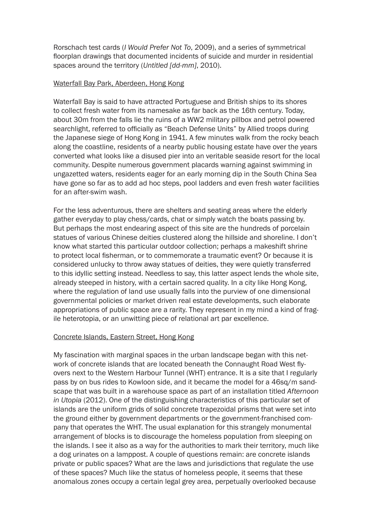Rorschach test cards (*I Would Prefer Not To*, 2009), and a series of symmetrical floorplan drawings that documented incidents of suicide and murder in residential spaces around the territory (*Untitled [dd-mm]*, 2010).

### Waterfall Bay Park, Aberdeen, Hong Kong

Waterfall Bay is said to have attracted Portuguese and British ships to its shores to collect fresh water from its namesake as far back as the 16th century. Today, about 30m from the falls lie the ruins of a WW2 military pillbox and petrol powered searchlight, referred to officially as "Beach Defense Units" by Allied troops during the Japanese siege of Hong Kong in 1941. A few minutes walk from the rocky beach along the coastline, residents of a nearby public housing estate have over the years converted what looks like a disused pier into an veritable seaside resort for the local community. Despite numerous government placards warning against swimming in ungazetted waters, residents eager for an early morning dip in the South China Sea have gone so far as to add ad hoc steps, pool ladders and even fresh water facilities for an after-swim wash.

For the less adventurous, there are shelters and seating areas where the elderly gather everyday to play chess/cards, chat or simply watch the boats passing by. But perhaps the most endearing aspect of this site are the hundreds of porcelain statues of various Chinese deities clustered along the hillside and shoreline. I don't know what started this particular outdoor collection; perhaps a makeshift shrine to protect local fisherman, or to commemorate a traumatic event? Or because it is considered unlucky to throw away statues of deities, they were quietly transferred to this idyllic setting instead. Needless to say, this latter aspect lends the whole site, already steeped in history, with a certain sacred quality. In a city like Hong Kong, where the regulation of land use usually falls into the purview of one dimensional governmental policies or market driven real estate developments, such elaborate appropriations of public space are a rarity. They represent in my mind a kind of fragile heterotopia, or an unwitting piece of relational art par excellence.

### Concrete Islands, Eastern Street, Hong Kong

My fascination with marginal spaces in the urban landscape began with this network of concrete islands that are located beneath the Connaught Road West flyovers next to the Western Harbour Tunnel (WHT) entrance. It is a site that I regularly pass by on bus rides to Kowloon side, and it became the model for a 46sq/m sandscape that was built in a warehouse space as part of an installation titled *Afternoon in Utopia* (2012). One of the distinguishing characteristics of this particular set of islands are the uniform grids of solid concrete trapezoidal prisms that were set into the ground either by government departments or the government-franchised company that operates the WHT. The usual explanation for this strangely monumental arrangement of blocks is to discourage the homeless population from sleeping on the islands. I see it also as a way for the authorities to mark their territory, much like a dog urinates on a lamppost. A couple of questions remain: are concrete islands private or public spaces? What are the laws and jurisdictions that regulate the use of these spaces? Much like the status of homeless people, it seems that these anomalous zones occupy a certain legal grey area, perpetually overlooked because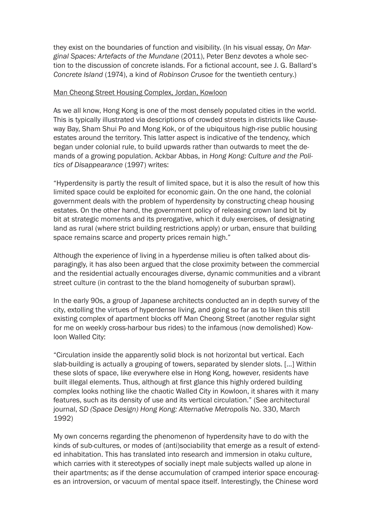they exist on the boundaries of function and visibility. (In his visual essay, *On Marginal Spaces: Artefacts of the Mundane* (2011), Peter Benz devotes a whole section to the discussion of concrete islands. For a fictional account, see J. G. Ballard's *Concrete Island* (1974), a kind of *Robinson Crusoe* for the twentieth century.)

### Man Cheong Street Housing Complex, Jordan, Kowloon

As we all know, Hong Kong is one of the most densely populated cities in the world. This is typically illustrated via descriptions of crowded streets in districts like Causeway Bay, Sham Shui Po and Mong Kok, or of the ubiquitous high-rise public housing estates around the territory. This latter aspect is indicative of the tendency, which began under colonial rule, to build upwards rather than outwards to meet the demands of a growing population. Ackbar Abbas, in *Hong Kong: Culture and the Politics of Disappearance* (1997) writes:

"Hyperdensity is partly the result of limited space, but it is also the result of how this limited space could be exploited for economic gain. On the one hand, the colonial government deals with the problem of hyperdensity by constructing cheap housing estates. On the other hand, the government policy of releasing crown land bit by bit at strategic moments and its prerogative, which it duly exercises, of designating land as rural (where strict building restrictions apply) or urban, ensure that building space remains scarce and property prices remain high."

Although the experience of living in a hyperdense milieu is often talked about disparagingly, it has also been argued that the close proximity between the commercial and the residential actually encourages diverse, dynamic communities and a vibrant street culture (in contrast to the the bland homogeneity of suburban sprawl).

In the early 90s, a group of Japanese architects conducted an in depth survey of the city, extolling the virtues of hyperdense living, and going so far as to liken this still existing complex of apartment blocks off Man Cheong Street (another regular sight for me on weekly cross-harbour bus rides) to the infamous (now demolished) Kowloon Walled City:

"Circulation inside the apparently solid block is not horizontal but vertical. Each slab-building is actually a grouping of towers, separated by slender slots. [...] Within these slots of space, like everywhere else in Hong Kong, however, residents have built illegal elements. Thus, although at first glance this highly ordered building complex looks nothing like the chaotic Walled City in Kowloon, it shares with it many features, such as its density of use and its vertical circulation." (See architectural journal, *SD (Space Design) Hong Kong: Alternative Metropolis* No. 330, March 1992)

My own concerns regarding the phenomenon of hyperdensity have to do with the kinds of sub-cultures, or modes of (anti)sociability that emerge as a result of extended inhabitation. This has translated into research and immersion in otaku culture, which carries with it stereotypes of socially inept male subjects walled up alone in their apartments; as if the dense accumulation of cramped interior space encourages an introversion, or vacuum of mental space itself. Interestingly, the Chinese word